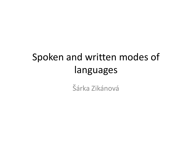### Spoken and written modes of languages

Šárka Zikánová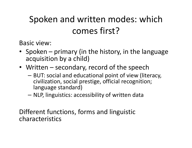### Spoken and written modes: which comes first?

Basic view:

- Spoken primary (in the history, in the language acquisition by a child)
- Written secondary, record of the speech
	- and the state of the - BUT: social and educational point of view (literacy, civilization, social prestige, official recognition; language standard)
	- and the state of the NLP, linguistics: accessibility of written data

Different functions, forms and linguistic characteristics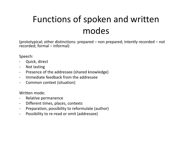### Functions of spoken and written modes

(prototypical; other distinctions: prepared – non prepared; intently recorded – not recorded; formal – informal)

Speech:

- $\blacksquare$ Quick, direct
- -Not lasting
- -Presence of the addressee (shared knowledge)
- -Immediate feedback from the addressee
- -Common context (situation)

Written mode:

- -Relative permanence
- -Different times, places, contexts
- -Preparation, possibility to reformulate (author)
- -Possibility to re-read or omit (addressee)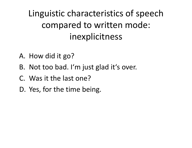Linguistic characteristics of speechcompared to written mode: inexplicitness

- A. How did it go?
- B. Not too bad. I'm just glad it's over.
- C. Was it the last one?
- D. Yes, for the time being.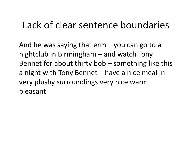# Lack of clear sentence boundaries

And he was saying that erm – you can go to a<br>nightalith in Directorkans and watch Term nightclub in Birmingham – and watch Tony Bennet for about thirty bob – something like this a night with Tony Bennet – have a nice meal in very plushy surroundings very nice warmpleasant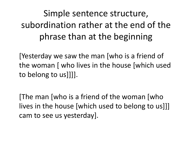## Simple sentence structure, subordination rather at the end of the phrase than at the beginning

[Yesterday we saw the man [who is a friend of<br>... the woman [ who lives in the house [which used to belong to us]]]].

[The man [who is a friend of the woman [who lives in the house [which used to belong to us]]] cam to see us yesterday].